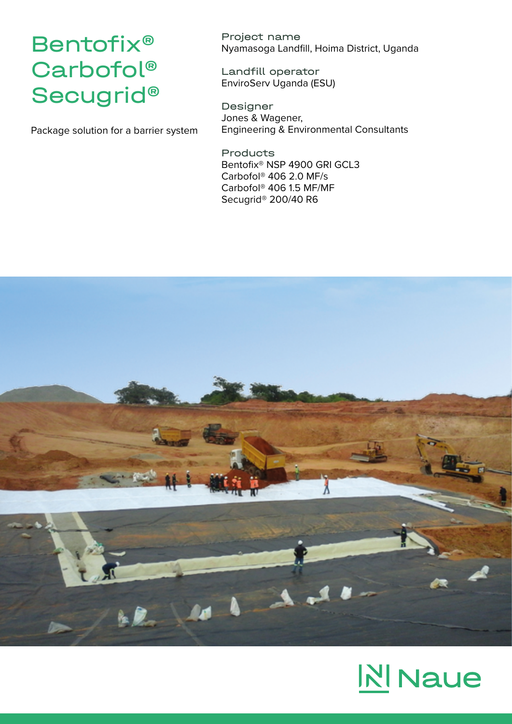## Bentofix® Carbofol® Secugrid®

Package solution for a barrier system

Project name Nyamasoga Landfill, Hoima District, Uganda

Landfill operator EnviroServ Uganda (ESU)

Designer Jones & Wagener, Engineering & Environmental Consultants

Products Bentofix® NSP 4900 GRI GCL3 Carbofol® 406 2.0 MF/s Carbofol® 406 1.5 MF/MF Secugrid® 200/40 R6



## **NINaue**